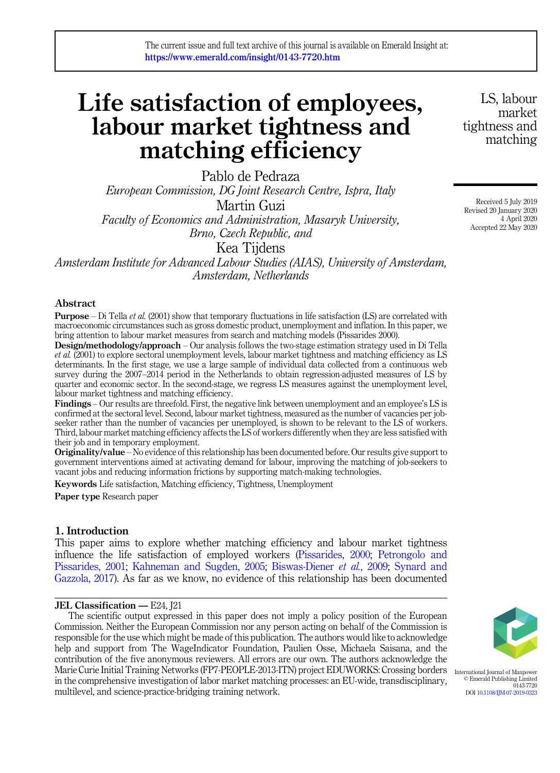# Life satisfaction of employees, labour market tightness and matching efficiency

Pablo de Pedraza European Commission, DG Joint Research Centre, Ispra, Italy Martin Guzi Faculty of Economics and Administration, Masaryk University, Brno, Czech Republic, and

Kea Tijdens

Amsterdam Institute for Advanced Labour Studies (AIAS), University of Amsterdam, Amsterdam, Netherlands

# Abstract

**Purpose** – Di Tella *et al.* (2001) show that temporary fluctuations in life satisfaction (LS) are correlated with macroeconomic circumstances such as gross domestic product, unemployment and inflation. In this paper, we bring attention to labour market measures from search and matching models (Pissarides 2000).

Design/methodology/approach – Our analysis follows the two-stage estimation strategy used in Di Tella et al. (2001) to explore sectoral unemployment levels, labour market tightness and matching efficiency as LS determinants. In the first stage, we use a large sample of individual data collected from a continuous web survey during the 2007–2014 period in the Netherlands to obtain regression-adjusted measures of LS by quarter and economic sector. In the second-stage, we regress LS measures against the unemployment level, labour market tightness and matching efficiency.

Findings – Our results are threefold. First, the negative link between unemployment and an employee's LS is confirmed at the sectoral level. Second, labour market tightness, measured as the number of vacancies per jobseeker rather than the number of vacancies per unemployed, is shown to be relevant to the LS of workers. Third, labour market matching efficiency affects the LS of workers differently when they are less satisfied with their job and in temporary employment.

Originality/value – No evidence of this relationship has been documented before. Our results give support to government interventions aimed at activating demand for labour, improving the matching of job-seekers to vacant jobs and reducing information frictions by supporting match-making technologies.

Keywords Life satisfaction, Matching efficiency, Tightness, Unemployment Paper type Research paper

# 1. Introduction

This paper aims to explore whether matching efficiency and labour market tightness influence the life satisfaction of employed workers ([Pissarides, 2000](#page-12-0); [Petrongolo and](#page-12-0) [Pissarides, 2001;](#page-12-0) [Kahneman and Sugden, 2005;](#page-11-0) [Biswas-Diener](#page-10-0) et al., 2009; [Synard and](#page-12-0) [Gazzola, 2017\)](#page-12-0). As far as we know, no evidence of this relationship has been documented

#### JEL Classification — E24, <sup>[2]</sup>

The scientific output expressed in this paper does not imply a policy position of the European Commission. Neither the European Commission nor any person acting on behalf of the Commission is responsible for the use which might be made of this publication. The authors would like to acknowledge help and support from The WageIndicator Foundation, Paulien Osse, Michaela Saisana, and the contribution of the five anonymous reviewers. All errors are our own. The authors acknowledge the Marie Curie Initial Training Networks (FP7-PEOPLE-2013-ITN) project EDUWORKS: Crossing borders in the comprehensive investigation of labor market matching processes: an EU-wide, transdisciplinary, multilevel, and science-practice-bridging training network.



International Journal of Manpower © Emerald Publishing Limited 0143-7720 DOI [10.1108/IJM-07-2019-0323](https://doi.org/10.1108/IJM-07-2019-0323)

LS, labour market tightness and matching

Received 5 July 2019 Revised 20 January 2020 4 April 2020 Accepted 22 May 2020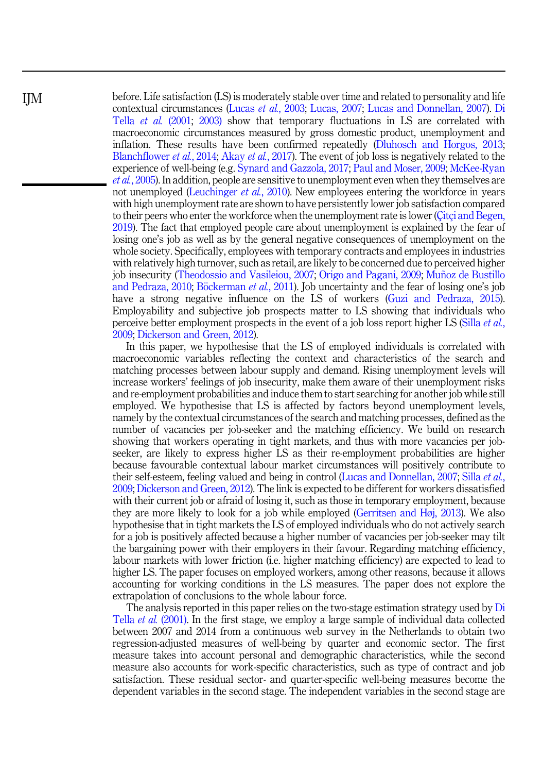before. Life satisfaction (LS) is moderately stable over time and related to personality and life contextual circumstances (Lucas et al.[, 2003;](#page-11-0) [Lucas, 2007](#page-11-0); [Lucas and Donnellan, 2007\)](#page-11-0). [Di](#page-12-0) Tella et al. [\(2001;](#page-12-0) [2003\)](#page-12-0) show that temporary fluctuations in LS are correlated with macroeconomic circumstances measured by gross domestic product, unemployment and inflation. These results have been confirmed repeatedly ([Dluhosch and Horgos, 2013](#page-11-0); [Blanchflower](#page-10-0) et al., 2014; Akay et al.[, 2017](#page-10-0)). The event of job loss is negatively related to the experience of well-being (e.g. [Synard and Gazzola, 2017](#page-12-0); [Paul and Moser, 2009;](#page-12-0) [McKee-Ryan](#page-11-0) et al.[, 2005](#page-11-0)). In addition, people are sensitive to unemployment even when they themselves are not unemployed ([Leuchinger](#page-11-0) *et al.*, 2010). New employees entering the workforce in years with high unemployment rate are shown to have persistently lower job satisfaction compared to their peers who enter the workforce when the unemployment rate is lower ([Çitçi and Begen,](#page-11-0) [2019\)](#page-11-0). The fact that employed people care about unemployment is explained by the fear of losing one's job as well as by the general negative consequences of unemployment on the whole society. Specifically, employees with temporary contracts and employees in industries with relatively high turnover, such as retail, are likely to be concerned due to perceived higher job insecurity [\(Theodossio and Vasileiou, 2007;](#page-12-0) [Origo and Pagani, 2009](#page-11-0); [Munoz de Bustillo](#page-11-0) ~ [and Pedraza, 2010;](#page-11-0) [B](#page-10-0)ö[ckerman](#page-10-0) *et al.*, 2011). Job uncertainty and the fear of losing one's job have a strong negative influence on the LS of workers ([Guzi and Pedraza, 2015\)](#page-11-0). Employability and subjective job prospects matter to LS showing that individuals who perceive better employment prospects in the event of a job loss report higher LS (Silla *[et al.](#page-12-0)*, [2009;](#page-12-0) [Dickerson and Green, 2012](#page-11-0)).

In this paper, we hypothesise that the LS of employed individuals is correlated with macroeconomic variables reflecting the context and characteristics of the search and matching processes between labour supply and demand. Rising unemployment levels will increase workers' feelings of job insecurity, make them aware of their unemployment risks and re-employment probabilities and induce them to start searching for another job while still employed. We hypothesise that LS is affected by factors beyond unemployment levels, namely by the contextual circumstances of the search and matching processes, defined as the number of vacancies per job-seeker and the matching efficiency. We build on research showing that workers operating in tight markets, and thus with more vacancies per jobseeker, are likely to express higher LS as their re-employment probabilities are higher because favourable contextual labour market circumstances will positively contribute to their self-esteem, feeling valued and being in control [\(Lucas and Donnellan, 2007](#page-11-0); Silla [et al.](#page-12-0), [2009;](#page-12-0) [Dickerson and Green, 2012](#page-11-0)). The link is expected to be different for workers dissatisfied with their current job or afraid of losing it, such as those in temporary employment, because they are more likely to look for a job while employed [\(Gerritsen and Høj, 2013](#page-11-0)). We also hypothesise that in tight markets the LS of employed individuals who do not actively search for a job is positively affected because a higher number of vacancies per job-seeker may tilt the bargaining power with their employers in their favour. Regarding matching efficiency, labour markets with lower friction (i.e. higher matching efficiency) are expected to lead to higher LS. The paper focuses on employed workers, among other reasons, because it allows accounting for working conditions in the LS measures. The paper does not explore the extrapolation of conclusions to the whole labour force.

The analysis reported in this paper relies on the two-stage estimation strategy used by [Di](#page-12-0) Tella et al. [\(2001\)](#page-12-0). In the first stage, we employ a large sample of individual data collected between 2007 and 2014 from a continuous web survey in the Netherlands to obtain two regression-adjusted measures of well-being by quarter and economic sector. The first measure takes into account personal and demographic characteristics, while the second measure also accounts for work-specific characteristics, such as type of contract and job satisfaction. These residual sector- and quarter-specific well-being measures become the dependent variables in the second stage. The independent variables in the second stage are

IJM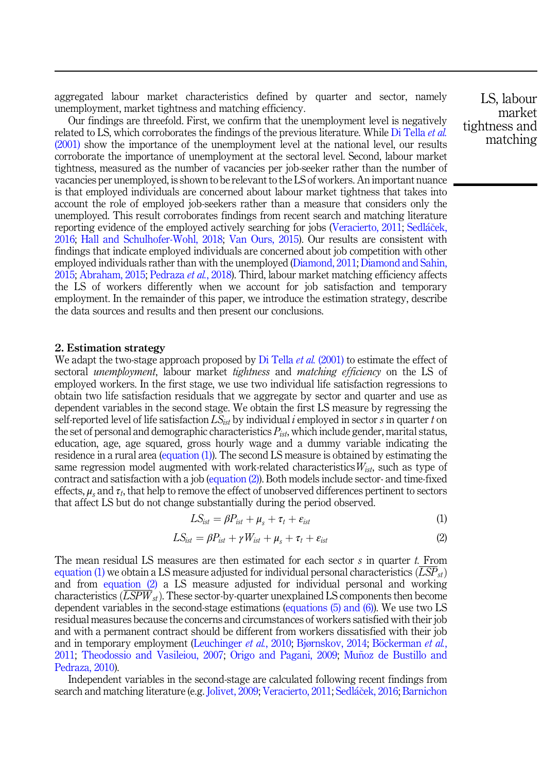<span id="page-2-0"></span>aggregated labour market characteristics defined by quarter and sector, namely unemployment, market tightness and matching efficiency.

Our findings are threefold. First, we confirm that the unemployment level is negatively related to LS, which corroborates the findings of the previous literature. While [Di Tella](#page-12-0) *et al.* [\(2001\)](#page-12-0) show the importance of the unemployment level at the national level, our results corroborate the importance of unemployment at the sectoral level. Second, labour market tightness, measured as the number of vacancies per job-seeker rather than the number of vacancies per unemployed, is shown to be relevant to the LS of workers. An important nuance is that employed individuals are concerned about labour market tightness that takes into account the role of employed job-seekers rather than a measure that considers only the unemployed. This result corroborates findings from recent search and matching literature reporting evidence of the employed actively searching for jobs ([Veracierto, 2011](#page-13-0); [Sedl](#page-12-0)áček, [2016;](#page-12-0) [Hall and Schulhofer-Wohl, 2018](#page-11-0); [Van Ours, 2015](#page-12-0)). Our results are consistent with findings that indicate employed individuals are concerned about job competition with other employed individuals rather than with the unemployed [\(Diamond, 2011](#page-11-0); [Diamond and Sahin,](#page-11-0) [2015;](#page-11-0) [Abraham, 2015](#page-10-0); [Pedraza](#page-12-0) et al., 2018). Third, labour market matching efficiency affects the LS of workers differently when we account for job satisfaction and temporary employment. In the remainder of this paper, we introduce the estimation strategy, describe the data sources and results and then present our conclusions.

## 2. Estimation strategy

We adapt the two-stage approach proposed by [Di Tella](#page-12-0) *et al.* (2001) to estimate the effect of sectoral *unemployment*, labour market *tightness* and *matching efficiency* on the LS of employed workers. In the first stage, we use two individual life satisfaction regressions to obtain two life satisfaction residuals that we aggregate by sector and quarter and use as dependent variables in the second stage. We obtain the first LS measure by regressing the self-reported level of life satisfaction  $LS_{ist}$  by individual i employed in sector s in quarter t on the set of personal and demographic characteristics  $P_{ist}$ , which include gender, marital status, education, age, age squared, gross hourly wage and a dummy variable indicating the residence in a rural area (equation (1)). The second LS measure is obtained by estimating the same regression model augmented with work-related characteristics  $W_{ist}$ , such as type of contract and satisfaction with a job (equation (2)). Both models include sector- and time-fixed effects,  $\mu_s$  and  $\tau_t$ , that help to remove the effect of unobserved differences pertinent to sectors that affect LS but do not change substantially during the period observed.

$$
LS_{ist} = \beta P_{ist} + \mu_s + \tau_t + \varepsilon_{ist} \tag{1}
$$

$$
LS_{ist} = \beta P_{ist} + \gamma W_{ist} + \mu_s + \tau_t + \varepsilon_{ist}
$$
 (2)

The mean residual LS measures are then estimated for each sector s in quarter t. From equation (1) we obtain a LS measure adjusted for individual personal characteristics  $(LSP_{st})$ and from equation (2) a LS measure adjusted for individual personal and working characteristics  $(\overline{LSPW}_{st})$ . These sector-by-quarter unexplained LS components then become dependent variables in the second-stage estimations ([equations \(5\) and \(6\)](#page-4-0)). We use two LS residual measures because the concerns and circumstances of workers satisfied with their job and with a permanent contract should be different from workers dissatisfied with their job and in temporary employment ([Leuchinger](#page-11-0) et al., 2010; [Bjørnskov, 2014](#page-10-0); [B](#page-10-0)ö[ckerman](#page-10-0) et al., [2011;](#page-10-0) [Theodossio and Vasileiou, 2007;](#page-12-0) [Origo and Pagani, 2009](#page-11-0); [Munoz de Bustillo and](#page-11-0) ~ [Pedraza, 2010\)](#page-11-0).

Independent variables in the second-stage are calculated following recent findings from search and matching literature (e.g. [Jolivet, 2009;](#page-11-0) [Veracierto, 2011](#page-13-0); [Sedl](#page-12-0)áč[ek, 2016;](#page-12-0) [Barnichon](#page-10-0)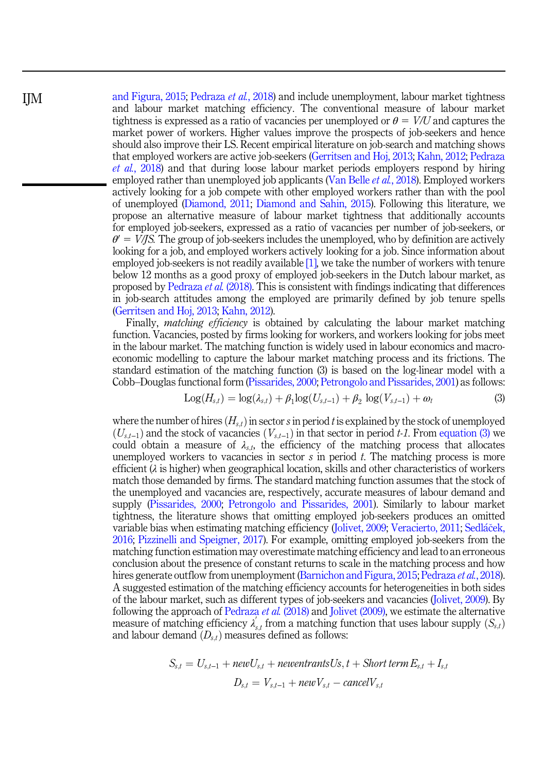[and Figura, 2015;](#page-10-0) [Pedraza](#page-12-0) et al., 2018) and include unemployment, labour market tightness and labour market matching efficiency. The conventional measure of labour market tightness is expressed as a ratio of vacancies per unemployed or  $\theta = V/U$  and captures the market power of workers. Higher values improve the prospects of job-seekers and hence should also improve their LS. Recent empirical literature on job-search and matching shows that employed workers are active job-seekers ([Gerritsen and Hoj, 2013;](#page-11-0) [Kahn, 2012](#page-11-0); [Pedraza](#page-12-0) et al.[, 2018\)](#page-12-0) and that during loose labour market periods employers respond by hiring employed rather than unemployed job applicants [\(Van Belle](#page-12-0) *et al.*, 2018). Employed workers actively looking for a job compete with other employed workers rather than with the pool of unemployed ([Diamond, 2011;](#page-11-0) [Diamond and Sahin, 2015\)](#page-11-0). Following this literature, we propose an alternative measure of labour market tightness that additionally accounts for employed job-seekers, expressed as a ratio of vacancies per number of job-seekers, or  $\theta' = V/IS$ . The group of job-seekers includes the unemployed, who by definition are actively looking for a job, and employed workers actively looking for a job. Since information about employed job-seekers is not readily available  $[1]$ , we take the number of workers with tenure below 12 months as a good proxy of employed job-seekers in the Dutch labour market, as proposed by [Pedraza](#page-12-0) et al. (2018). This is consistent with findings indicating that differences in job-search attitudes among the employed are primarily defined by job tenure spells ([Gerritsen and Hoj, 2013](#page-11-0); [Kahn, 2012](#page-11-0)).

Finally, *matching efficiency* is obtained by calculating the labour market matching function. Vacancies, posted by firms looking for workers, and workers looking for jobs meet in the labour market. The matching function is widely used in labour economics and macroeconomic modelling to capture the labour market matching process and its frictions. The standard estimation of the matching function (3) is based on the log-linear model with a Cobb–Douglas functional form ([Pissarides, 2000;](#page-12-0) [Petrongolo and Pissarides, 2001\)](#page-12-0) as follows:<br>
Log $(H_{s,t}) = \log(\lambda_{s,t}) + \beta_1 \log(U_{s,t-1}) + \beta_2 \log(V_{s,t-1}) + \omega_t$  (3)

$$
Log(H_{s,t}) = log(\lambda_{s,t}) + \beta_1 log(U_{s,t-1}) + \beta_2 log(V_{s,t-1}) + \omega_t
$$
\n(3)

where the number of hires  $(H_{s,t})$  in sector s in period t is explained by the stock of unemployed  $(U_{s,t-1})$  and the stock of vacancies  $(V_{s,t-1})$  in that sector in period t-1. From equation (3) we could obtain a measure of  $\lambda_{s,t}$ , the efficiency of the matching process that allocates unemployed workers to vacancies in sector  $s$  in period  $t$ . The matching process is more efficient  $(\lambda)$  is higher) when geographical location, skills and other characteristics of workers match those demanded by firms. The standard matching function assumes that the stock of the unemployed and vacancies are, respectively, accurate measures of labour demand and supply [\(Pissarides, 2000](#page-12-0); [Petrongolo and Pissarides, 2001](#page-12-0)). Similarly to labour market tightness, the literature shows that omitting employed job-seekers produces an omitted variable bias when estimating matching efficiency ([Jolivet, 2009](#page-11-0); [Veracierto, 2011;](#page-13-0) [Sedl](#page-12-0)áček, [2016;](#page-12-0) [Pizzinelli and Speigner, 2017\)](#page-12-0). For example, omitting employed job-seekers from the matching function estimation may overestimate matching efficiency and lead to an erroneous conclusion about the presence of constant returns to scale in the matching process and how hires generate outflow from unemployment [\(Barnichon and Figura, 2015;](#page-10-0) [Pedraza](#page-12-0) *et al.*, 2018). A suggested estimation of the matching efficiency accounts for heterogeneities in both sides of the labour market, such as different types of job-seekers and vacancies ([Jolivet, 2009\)](#page-11-0). By following the approach of [Pedraza](#page-12-0) et al. (2018) and [Jolivet \(2009\)](#page-11-0), we estimate the alternative measure of matching efficiency  $\lambda'_{s,t}$  from a matching function that uses labour supply  $(S_{s,t})$ and labour demand  $(D_{s,t})$  measures defined as follows:

$$
S_{s,t} = U_{s,t-1} + newU_{s,t} + newentrantsUs, t + Short term E_{s,t} + I_{s,t}
$$

$$
D_{s,t} = V_{s,t-1} + newV_{s,t} - cancelV_{s,t}
$$

<span id="page-3-0"></span>IJM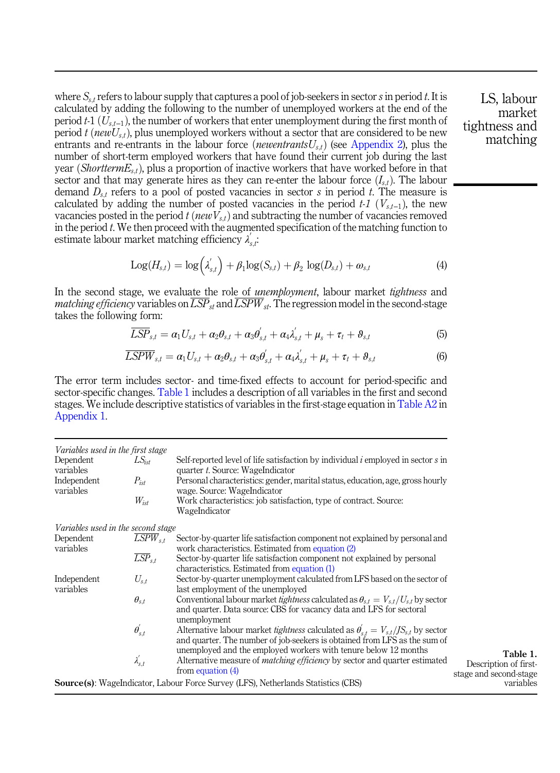<span id="page-4-0"></span>where  $S_{s,t}$  refers to labour supply that captures a pool of job-seekers in sector s in period t. It is calculated by adding the following to the number of unemployed workers at the end of the period t-1  $(U_{s,t-1})$ , the number of workers that enter unemployment during the first month of period t (new $U_{s,t}$ ), plus unemployed workers without a sector that are considered to be new entrants and re-entrants in the labour force (newentrants $U_{s,t}$ ) (see [Appendix 2\)](#page-13-0), plus the number of short-term employed workers that have found their current job during the last year (Shortterm $E_{s,t}$ ), plus a proportion of inactive workers that have worked before in that sector and that may generate hires as they can re-enter the labour force  $(I_{st})$ . The labour demand  $D_{s,t}$  refers to a pool of posted vacancies in sector s in period t. The measure is calculated by adding the number of posted vacancies in the period  $t$ -1  $(V_{s,t-1})$ , the new vacancies posted in the period  $t$  (new  $V_{s,t}$ ) and subtracting the number of vacancies removed in the period  $t$ . We then proceed with the augmented specification of the matching function to estimate labour market matching efficiency  $\lambda_{s,t}^{'}$ :

$$
Log(H_{s,t}) = log(\lambda'_{s,t}) + \beta_1 log(S_{s,t}) + \beta_2 log(D_{s,t}) + \omega_{s,t}
$$
\n(4)

In the second stage, we evaluate the role of *unemployment*, labour market *tightness* and *matching efficiency* variables on  $\overline{LSP}_{st}$  and  $\overline{LSPW}_{st}$ . The regression model in the second-stage takes the following form:

$$
\overline{LSP}_{s,t} = \alpha_1 U_{s,t} + \alpha_2 \theta_{s,t} + \alpha_3 \theta'_{s,t} + \alpha_4 \lambda'_{s,t} + \mu_s + \tau_t + \theta_{s,t}
$$
(5)

$$
\overline{LSPW}_{s,t} = \alpha_1 U_{s,t} + \alpha_2 \theta_{s,t} + \alpha_3 \theta'_{s,t} + \alpha_4 \lambda'_{s,t} + \mu_s + \tau_t + \theta_{s,t}
$$
(6)

The error term includes sector- and time-fixed effects to account for period-specific and sector-specific changes. Table 1 includes a description of all variables in the first and second stages. We include descriptive statistics of variables in the first-stage equation in [Table A2](#page-13-0) in Appendix 1.

| Variables used in the first stage                                                        |                        |                                                                                                               |                        |
|------------------------------------------------------------------------------------------|------------------------|---------------------------------------------------------------------------------------------------------------|------------------------|
| Dependent                                                                                | $LS_{ist}$             | Self-reported level of life satisfaction by individual <i>i</i> employed in sector <i>s</i> in                |                        |
| variables                                                                                |                        | quarter t. Source: WageIndicator                                                                              |                        |
| Independent<br>variables                                                                 | $P_{ist}$              | Personal characteristics: gender, marital status, education, age, gross hourly<br>wage. Source: WageIndicator |                        |
|                                                                                          | $W_{ist}$              | Work characteristics: job satisfaction, type of contract. Source:                                             |                        |
|                                                                                          |                        | WageIndicator                                                                                                 |                        |
| Variables used in the second stage                                                       |                        |                                                                                                               |                        |
| Dependent                                                                                | $LSPW_{s,t}$           | Sector-by-quarter life satisfaction component not explained by personal and                                   |                        |
| variables                                                                                |                        | work characteristics. Estimated from equation (2)                                                             |                        |
|                                                                                          | $\overline{LSP}_{s,t}$ | Sector-by-quarter life satisfaction component not explained by personal                                       |                        |
|                                                                                          |                        | characteristics. Estimated from equation (1)                                                                  |                        |
| Independent                                                                              | $U_{s,t}$              | Sector-by-quarter unemployment calculated from LFS based on the sector of                                     |                        |
| variables                                                                                |                        | last employment of the unemployed                                                                             |                        |
|                                                                                          | $\theta_{s,t}$         | Conventional labour market <i>tightness</i> calculated as $\theta_{s,t} = V_{s,t}/U_{s,t}$ by sector          |                        |
|                                                                                          |                        | and quarter. Data source: CBS for vacancy data and LFS for sectoral                                           |                        |
|                                                                                          |                        | unemployment                                                                                                  |                        |
|                                                                                          | $\theta_{s,t}^{'}$     | Alternative labour market <i>tightness</i> calculated as $\theta_{s,t}^{'} = V_{s,t}/JS_{s,t}$ by sector      |                        |
|                                                                                          |                        | and quarter. The number of job-seekers is obtained from LFS as the sum of                                     |                        |
|                                                                                          |                        | unemployed and the employed workers with tenure below 12 months                                               | Table 1.               |
|                                                                                          | $\lambda^{'}_{s,t}$    | Alternative measure of <i>matching efficiency</i> by sector and quarter estimated                             | Description of first-  |
|                                                                                          |                        | from equation $(4)$                                                                                           | stage and second-stage |
| <b>Source(s):</b> WageIndicator, Labour Force Survey (LFS), Netherlands Statistics (CBS) | variables              |                                                                                                               |                        |
|                                                                                          |                        |                                                                                                               |                        |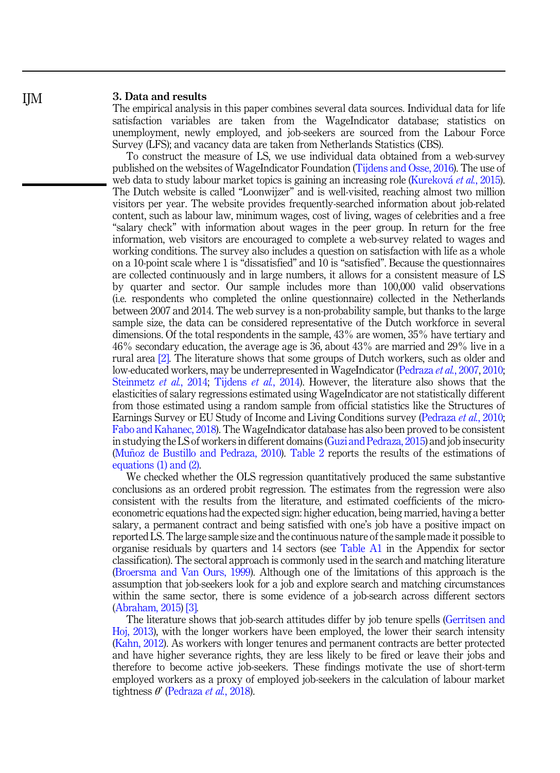# 3. Data and results

IJM

The empirical analysis in this paper combines several data sources. Individual data for life satisfaction variables are taken from the WageIndicator database; statistics on unemployment, newly employed, and job-seekers are sourced from the Labour Force Survey (LFS); and vacancy data are taken from Netherlands Statistics (CBS).

To construct the measure of LS, we use individual data obtained from a web-survey published on the websites of WageIndicator Foundation [\(Tijdens and Osse, 2016\)](#page-12-0). The use of web data to study labour market topics is gaining an increasing role [\(Kurekov](#page-11-0)á et al.[, 2015\)](#page-11-0). The Dutch website is called "Loonwijzer" and is well-visited, reaching almost two million visitors per year. The website provides frequently-searched information about job-related content, such as labour law, minimum wages, cost of living, wages of celebrities and a free "salary check" with information about wages in the peer group. In return for the free information, web visitors are encouraged to complete a web-survey related to wages and working conditions. The survey also includes a question on satisfaction with life as a whole on a 10-point scale where 1 is "dissatisfied" and 10 is "satisfied". Because the questionnaires are collected continuously and in large numbers, it allows for a consistent measure of LS by quarter and sector. Our sample includes more than 100,000 valid observations (i.e. respondents who completed the online questionnaire) collected in the Netherlands between 2007 and 2014. The web survey is a non-probability sample, but thanks to the large sample size, the data can be considered representative of the Dutch workforce in several dimensions. Of the total respondents in the sample, 43% are women, 35% have tertiary and 46% secondary education, the average age is 36, about 43% are married and 29% live in a rural area [\[2\].](#page-10-0) The literature shows that some groups of Dutch workers, such as older and low-educated workers, may be underrepresented in WageIndicator ([Pedraza](#page-12-0) et al., 2007, [2010](#page-12-0); [Steinmetz](#page-12-0) *et al.*, 2014; [Tijdens](#page-12-0) *et al.*, 2014). However, the literature also shows that the elasticities of salary regressions estimated using WageIndicator are not statistically different from those estimated using a random sample from official statistics like the Structures of Earnings Survey or EU Study of Income and Living Conditions survey ([Pedraza](#page-12-0) et al., 2010; [Fabo and Kahanec, 2018](#page-11-0)). The WageIndicator database has also been proved to be consistent in studying the LS of workers in different domains [\(Guzi and Pedraza, 2015\)](#page-11-0) and job insecurity (Muñoz de Bustillo and Pedraza,  $2010$ ). [Table 2](#page-6-0) reports the results of the estimations of [equations \(1\) and \(2\).](#page-2-0)

We checked whether the OLS regression quantitatively produced the same substantive conclusions as an ordered probit regression. The estimates from the regression were also consistent with the results from the literature, and estimated coefficients of the microeconometric equations had the expected sign: higher education, being married, having a better salary, a permanent contract and being satisfied with one's job have a positive impact on reported LS. The large sample size and the continuous nature of the sample made it possible to organise residuals by quarters and 14 sectors (see [Table A1](#page-13-0) in the Appendix for sector classification). The sectoral approach is commonly used in the search and matching literature ([Broersma and Van Ours, 1999\)](#page-10-0). Although one of the limitations of this approach is the assumption that job-seekers look for a job and explore search and matching circumstances within the same sector, there is some evidence of a job-search across different sectors ([Abraham, 2015](#page-10-0)) [\[3\]](#page-10-0).

The literature shows that job-search attitudes differ by job tenure spells ([Gerritsen and](#page-11-0) [Hoj, 2013](#page-11-0)), with the longer workers have been employed, the lower their search intensity ([Kahn, 2012](#page-11-0)). As workers with longer tenures and permanent contracts are better protected and have higher severance rights, they are less likely to be fired or leave their jobs and therefore to become active job-seekers. These findings motivate the use of short-term employed workers as a proxy of employed job-seekers in the calculation of labour market tightness  $\theta'$  ([Pedraza](#page-12-0) *et al.*, 2018).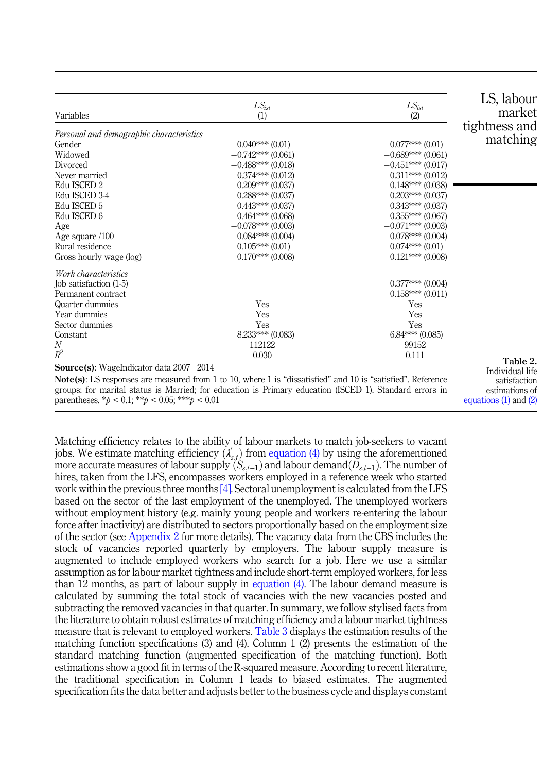<span id="page-6-0"></span>

| Variables                                                                                                                                                                                                                                                          | $LS_{ist}$<br>(1)                                                                                                                                                                                                                                                                           | $LS_{ist}$<br>(2)                                                                                                                                                                                                                                                  | LS, labour<br>market<br>tightness and                                                      |
|--------------------------------------------------------------------------------------------------------------------------------------------------------------------------------------------------------------------------------------------------------------------|---------------------------------------------------------------------------------------------------------------------------------------------------------------------------------------------------------------------------------------------------------------------------------------------|--------------------------------------------------------------------------------------------------------------------------------------------------------------------------------------------------------------------------------------------------------------------|--------------------------------------------------------------------------------------------|
| Personal and demographic characteristics<br>Gender<br>Widowed<br>Divorced<br>Never married<br>Edu ISCED 2<br>Edu ISCED 3-4<br>Edu ISCED 5<br>Edu ISCED 6<br>Age<br>Age square /100<br>Rural residence<br>Gross hourly wage (log)                                   | $0.040***(0.01)$<br>$-0.742***(0.061)$<br>$-0.488***(0.018)$<br>$-0.374***(0.012)$<br>$0.209***(0.037)$<br>$0.288***(0.037)$<br>$0.443***(0.037)$<br>$0.464***(0.068)$<br>$-0.078***$ (0.003)<br>$0.084***(0.004)$<br>$0.105***(0.01)$<br>$0.170***$ (0.008)                                | $0.077***(0.01)$<br>$-0.689***$ (0.061)<br>$-0.451***$ (0.017)<br>$-0.311***$ (0.012)<br>$0.148***$ (0.038)<br>$0.203***(0.037)$<br>$0.343***$ (0.037)<br>$0.355***(0.067)$<br>$-0.071***$ (0.003)<br>$0.078***$ (0.004)<br>$0.074***(0.01)$<br>$0.121***$ (0.008) | matching                                                                                   |
| Work characteristics<br>Job satisfaction (1-5)<br>Permanent contract<br>Quarter dummies<br>Year dummies<br>Sector dummies<br>Constant<br>N<br>$R^2$<br><b>Source(s):</b> WageIndicator data 2007-2014<br>parentheses. * $p < 0.1$ ; ** $p < 0.05$ ; *** $p < 0.01$ | Yes<br>Yes<br>Yes<br>$8.233***(0.083)$<br>112122<br>0.030<br><b>Note(s)</b> : LS responses are measured from 1 to 10, where 1 is "dissatisfied" and 10 is "satisfied". Reference<br>groups: for marital status is Married; for education is Primary education (ISCED 1). Standard errors in | $0.377***$ (0.004)<br>$0.158***(0.011)$<br>Yes<br>Yes<br>Yes<br>$6.84***(0.085)$<br>99152<br>0.111                                                                                                                                                                 | Table 2.<br>Individual life<br>satisfaction<br>estimations of<br>equations $(1)$ and $(2)$ |

Matching efficiency relates to the ability of labour markets to match job-seekers to vacant jobs. We estimate matching efficiency  $(\lambda'_{s,t})$  from [equation \(4\)](#page-4-0) by using the aforementioned Matching efficiency relates to the ability of labour markets to match job-seekers to vacant<br>jobs. We estimate matching efficiency  $(\lambda'_{s,t})$  from equation (4) by using the aforementioned<br>more accurate measures of labour su hires, taken from the LFS, encompasses workers employed in a reference week who started work within the previous three months [\[4\]](#page-10-0). Sectoral unemployment is calculated from the LFS based on the sector of the last employment of the unemployed. The unemployed workers without employment history (e.g. mainly young people and workers re-entering the labour force after inactivity) are distributed to sectors proportionally based on the employment size of the sector (see [Appendix 2](#page-13-0) for more details). The vacancy data from the CBS includes the stock of vacancies reported quarterly by employers. The labour supply measure is augmented to include employed workers who search for a job. Here we use a similar assumption as for labour market tightness and include short-term employed workers, for less than 12 months, as part of labour supply in [equation \(4\).](#page-4-0) The labour demand measure is calculated by summing the total stock of vacancies with the new vacancies posted and subtracting the removed vacancies in that quarter. In summary, we follow stylised facts from the literature to obtain robust estimates of matching efficiency and a labour market tightness measure that is relevant to employed workers. [Table 3](#page-7-0) displays the estimation results of the matching function specifications  $(3)$  and  $(4)$ . Column 1  $(2)$  presents the estimation of the standard matching function (augmented specification of the matching function). Both estimations show a good fit in terms of the R-squared measure. According to recent literature, the traditional specification in Column 1 leads to biased estimates. The augmented specification fits the data better and adjusts better to the business cycle and displays constant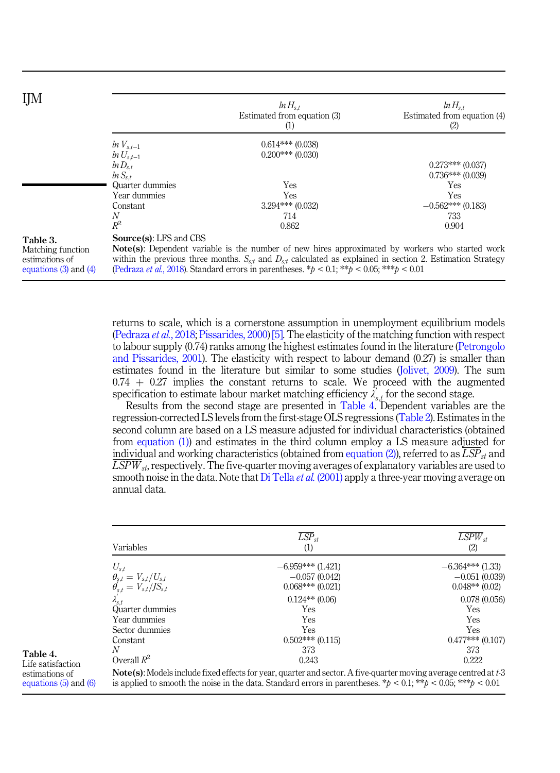<span id="page-7-0"></span>

| ЦM                                                                           |                                                                                                                                                                                                                                                                                                                                                                                                    | $ln H_{s,t}$<br>Estimated from equation (3)<br>(1) | $ln H_{s,t}$<br>Estimated from equation (4)<br>(2) |
|------------------------------------------------------------------------------|----------------------------------------------------------------------------------------------------------------------------------------------------------------------------------------------------------------------------------------------------------------------------------------------------------------------------------------------------------------------------------------------------|----------------------------------------------------|----------------------------------------------------|
|                                                                              | $\ln V_{s,t-1}$<br>$\ln U_{s,t-1}$                                                                                                                                                                                                                                                                                                                                                                 | $0.614***(0.038)$<br>$0.200***(0.030)$             |                                                    |
|                                                                              | $ln D_{s,t}$<br>$\ln S_{s,t}$                                                                                                                                                                                                                                                                                                                                                                      |                                                    | $0.273***(0.037)$<br>$0.736***(0.039)$             |
|                                                                              | Quarter dummies                                                                                                                                                                                                                                                                                                                                                                                    | Yes                                                | Yes                                                |
|                                                                              | Year dummies<br>Constant                                                                                                                                                                                                                                                                                                                                                                           | Yes<br>$3.294***(0.032)$                           | <b>Yes</b><br>$-0.562***(0.183)$                   |
|                                                                              | N<br>$R^2$                                                                                                                                                                                                                                                                                                                                                                                         | 714<br>0.862                                       | 733<br>0.904                                       |
| Table 3.<br>Matching function<br>estimations of<br>equations $(3)$ and $(4)$ | <b>Source(s): LFS and CBS</b><br><b>Note(s)</b> : Dependent variable is the number of new hires approximated by workers who started work<br>within the previous three months. $S_{s,t}$ and $D_{s,t}$ calculated as explained in section 2. Estimation Strategy<br>(Pedraza <i>et al.</i> , 2018). Standard errors in parentheses. $*$ <i>b</i> < 0.1; $**$ <i>b</i> < 0.05; $***$ <i>b</i> < 0.01 |                                                    |                                                    |

returns to scale, which is a cornerstone assumption in unemployment equilibrium models ([Pedraza](#page-12-0) et al., 2018; [Pissarides, 2000\)](#page-12-0) [\[5\].](#page-10-0) The elasticity of the matching function with respect to labour supply (0.74) ranks among the highest estimates found in the literature ([Petrongolo](#page-12-0) [and Pissarides, 2001](#page-12-0)). The elasticity with respect to labour demand (0.27) is smaller than estimates found in the literature but similar to some studies [\(Jolivet, 2009](#page-11-0)). The sum  $0.74 + 0.27$  implies the constant returns to scale. We proceed with the augmented specification to estimate labour market matching efficiency  $\lambda'_{s,t}$  for the second stage.

Results from the second stage are presented in Table 4. Dependent variables are the regression-corrected LS levels from the first-stage OLS regressions [\(Table 2](#page-6-0)). Estimates in the second column are based on a LS measure adjusted for individual characteristics (obtained from [equation \(1\)\)](#page-2-0) and estimates in the third column employ a LS measure adjusted for individual and working characteristics (obtained from [equation \(2\)](#page-2-0)), referred to as  $\overline{LSP}_{st}$  and  $\overline{LSPW}_{st}$ , respectively. The five-quarter moving averages of explanatory variables are used to smooth noise in the data. Note that [Di Tella](#page-12-0) *et al.* (2001) apply a three-year moving average on annual data.

| Variables                                                                          | $LSP_{st}$<br>(1)                                                                                                                                                                                                                                    | $LSPW_{st}$<br>(2) |
|------------------------------------------------------------------------------------|------------------------------------------------------------------------------------------------------------------------------------------------------------------------------------------------------------------------------------------------------|--------------------|
|                                                                                    | $-6.959***(1.421)$                                                                                                                                                                                                                                   | $-6.364***$ (1.33) |
|                                                                                    | $-0.057(0.042)$                                                                                                                                                                                                                                      | $-0.051(0.039)$    |
| $U_{s,t}$<br>$\theta_{s,t} = V_{s,t}/U_{s,t}$<br>$\theta_{s,t} = V_{s,t}/JS_{s,t}$ | $0.068***(0.021)$                                                                                                                                                                                                                                    | $0.048**$ (0.02)   |
|                                                                                    | $0.124**$ (0.06)                                                                                                                                                                                                                                     | 0.078(0.056)       |
| Quarter dummies                                                                    | Yes                                                                                                                                                                                                                                                  | <b>Yes</b>         |
| Year dummies                                                                       | Yes                                                                                                                                                                                                                                                  | Yes                |
| Sector dummies                                                                     | Yes                                                                                                                                                                                                                                                  | Yes                |
| Constant                                                                           | $0.502***(0.115)$                                                                                                                                                                                                                                    | $0.477***(0.107)$  |
| N                                                                                  | 373                                                                                                                                                                                                                                                  | 373                |
| Overall $R^2$                                                                      | 0.243                                                                                                                                                                                                                                                | 0.222              |
|                                                                                    | <b>Note(s)</b> : Models include fixed effects for year, quarter and sector. A five-quarter moving average centred at t-3<br>is applied to smooth the noise in the data. Standard errors in parentheses. * $p < 0.1$ ; ** $p < 0.05$ ; *** $p < 0.01$ |                    |

Table 4. Life satisfaction estimations of [equations \(5\)](#page-4-0) and [\(6\)](#page-4-0)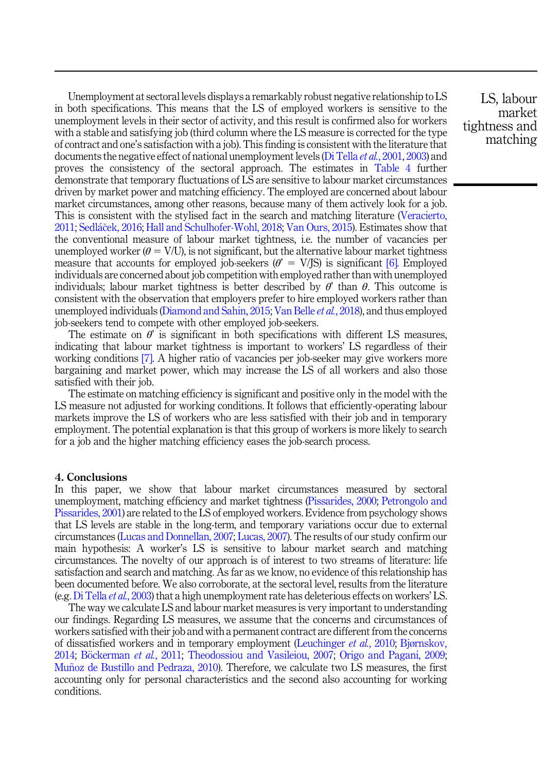Unemployment at sectoral levels displays a remarkably robust negative relationship to LS in both specifications. This means that the LS of employed workers is sensitive to the unemployment levels in their sector of activity, and this result is confirmed also for workers with a stable and satisfying job (third column where the LS measure is corrected for the type of contract and one's satisfaction with a job). This finding is consistent with the literature that documents the negative effect of national unemployment levels ([Di Tella](#page-12-0) *et al.*, 2001, [2003\)](#page-12-0) and proves the consistency of the sectoral approach. The estimates in [Table 4](#page-7-0) further demonstrate that temporary fluctuations of LS are sensitive to labour market circumstances driven by market power and matching efficiency. The employed are concerned about labour market circumstances, among other reasons, because many of them actively look for a job. This is consistent with the stylised fact in the search and matching literature ([Veracierto,](#page-13-0) [2011;](#page-13-0) [Sedl](#page-12-0)áček, 2016; [Hall and Schulhofer-Wohl, 2018](#page-11-0); [Van Ours, 2015](#page-12-0)). Estimates show that the conventional measure of labour market tightness, i.e. the number of vacancies per unemployed worker ( $\theta = V/U$ ), is not significant, but the alternative labour market tightness measure that accounts for employed job-seekers ( $\theta' = V/S$ ) is significant [\[6\].](#page-10-0) Employed individuals are concerned about job competition with employed rather than with unemployed individuals; labour market tightness is better described by  $\theta$  than  $\theta$ . This outcome is consistent with the observation that employers prefer to hire employed workers rather than unemployed individuals ([Diamond and Sahin, 2015](#page-11-0); [Van Belle](#page-12-0) et al., 2018), and thus employed job-seekers tend to compete with other employed job-seekers.

The estimate on  $\theta$  is significant in both specifications with different LS measures, indicating that labour market tightness is important to workers' LS regardless of their working conditions [\[7\]](#page-10-0). A higher ratio of vacancies per job-seeker may give workers more bargaining and market power, which may increase the LS of all workers and also those satisfied with their job.

The estimate on matching efficiency is significant and positive only in the model with the LS measure not adjusted for working conditions. It follows that efficiently-operating labour markets improve the LS of workers who are less satisfied with their job and in temporary employment. The potential explanation is that this group of workers is more likely to search for a job and the higher matching efficiency eases the job-search process.

#### 4. Conclusions

In this paper, we show that labour market circumstances measured by sectoral unemployment, matching efficiency and market tightness [\(Pissarides, 2000;](#page-12-0) [Petrongolo and](#page-12-0) [Pissarides, 2001\)](#page-12-0) are related to the LS of employed workers. Evidence from psychology shows that LS levels are stable in the long-term, and temporary variations occur due to external circumstances ([Lucas and Donnellan, 2007;](#page-11-0) [Lucas, 2007](#page-11-0)). The results of our study confirm our main hypothesis: A worker's LS is sensitive to labour market search and matching circumstances. The novelty of our approach is of interest to two streams of literature: life satisfaction and search and matching. As far as we know, no evidence of this relationship has been documented before. We also corroborate, at the sectoral level, results from the literature (e.g. [Di Tella](#page-12-0) et al., 2003) that a high unemployment rate has deleterious effects on workers' LS.

The way we calculate LS and labour market measures is very important to understanding our findings. Regarding LS measures, we assume that the concerns and circumstances of workers satisfied with their job and with a permanent contract are different from the concerns of dissatisfied workers and in temporary employment ([Leuchinger](#page-11-0) et al., 2010; [Bjørnskov,](#page-10-0) [2014;](#page-10-0) [B](#page-10-0)ö[ckerman](#page-10-0) et al., 2011; [Theodossiou and Vasileiou, 2007;](#page-12-0) [Origo and Pagani, 2009](#page-11-0); Muñoz de Bustillo and Pedraza, 2010). Therefore, we calculate two LS measures, the first accounting only for personal characteristics and the second also accounting for working conditions.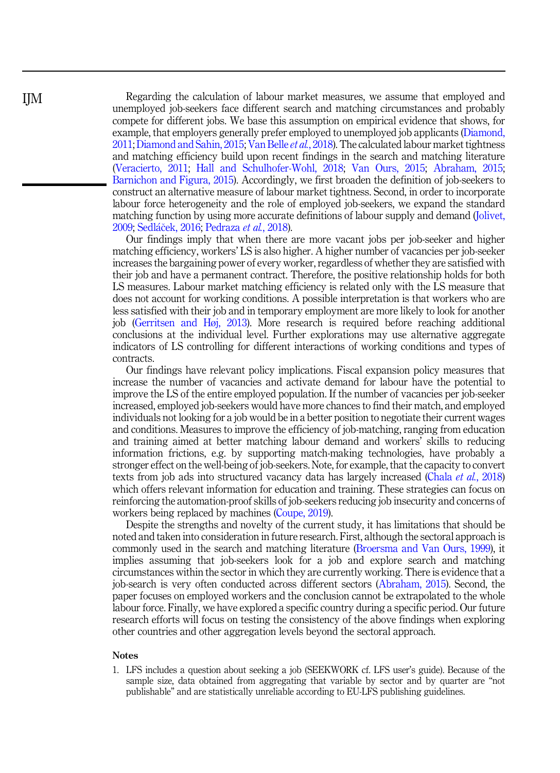<span id="page-9-0"></span>Regarding the calculation of labour market measures, we assume that employed and unemployed job-seekers face different search and matching circumstances and probably compete for different jobs. We base this assumption on empirical evidence that shows, for example, that employers generally prefer employed to unemployed job applicants [\(Diamond,](#page-11-0) 2011; Diamond and Sahin, 2015; [Van Belle](#page-12-0) et al., 2018). The calculated labour market tightness and matching efficiency build upon recent findings in the search and matching literature ([Veracierto, 2011;](#page-13-0) [Hall and Schulhofer-Wohl, 2018;](#page-11-0) [Van Ours, 2015;](#page-12-0) [Abraham, 2015](#page-10-0); [Barnichon and Figura, 2015\)](#page-10-0). Accordingly, we first broaden the definition of job-seekers to construct an alternative measure of labour market tightness. Second, in order to incorporate labour force heterogeneity and the role of employed job-seekers, we expand the standard matching function by using more accurate definitions of labour supply and demand [\(Jolivet,](#page-11-0) [2009;](#page-11-0) [Sedl](#page-12-0)áč[ek, 2016;](#page-12-0) [Pedraza](#page-12-0) *et al.*, 2018).

Our findings imply that when there are more vacant jobs per job-seeker and higher matching efficiency, workers' LS is also higher. A higher number of vacancies per job-seeker increases the bargaining power of every worker, regardless of whether they are satisfied with their job and have a permanent contract. Therefore, the positive relationship holds for both LS measures. Labour market matching efficiency is related only with the LS measure that does not account for working conditions. A possible interpretation is that workers who are less satisfied with their job and in temporary employment are more likely to look for another job ([Gerritsen and Høj, 2013\)](#page-11-0). More research is required before reaching additional conclusions at the individual level. Further explorations may use alternative aggregate indicators of LS controlling for different interactions of working conditions and types of contracts.

Our findings have relevant policy implications. Fiscal expansion policy measures that increase the number of vacancies and activate demand for labour have the potential to improve the LS of the entire employed population. If the number of vacancies per job-seeker increased, employed job-seekers would have more chances to find their match, and employed individuals not looking for a job would be in a better position to negotiate their current wages and conditions. Measures to improve the efficiency of job-matching, ranging from education and training aimed at better matching labour demand and workers' skills to reducing information frictions, e.g. by supporting match-making technologies, have probably a stronger effect on the well-being of job-seekers. Note, for example, that the capacity to convert texts from job ads into structured vacancy data has largely increased (Chala et al.[, 2018\)](#page-11-0) which offers relevant information for education and training. These strategies can focus on reinforcing the automation-proof skills of job-seekers reducing job insecurity and concerns of workers being replaced by machines [\(Coupe, 2019](#page-11-0)).

Despite the strengths and novelty of the current study, it has limitations that should be noted and taken into consideration in future research. First, although the sectoral approach is commonly used in the search and matching literature ([Broersma and Van Ours, 1999](#page-10-0)), it implies assuming that job-seekers look for a job and explore search and matching circumstances within the sector in which they are currently working. There is evidence that a job-search is very often conducted across different sectors ([Abraham, 2015\)](#page-10-0). Second, the paper focuses on employed workers and the conclusion cannot be extrapolated to the whole labour force. Finally, we have explored a specific country during a specific period. Our future research efforts will focus on testing the consistency of the above findings when exploring other countries and other aggregation levels beyond the sectoral approach.

#### **Notes**

1. LFS includes a question about seeking a job (SEEKWORK cf. LFS user's guide). Because of the sample size, data obtained from aggregating that variable by sector and by quarter are "not publishable" and are statistically unreliable according to EU-LFS publishing guidelines.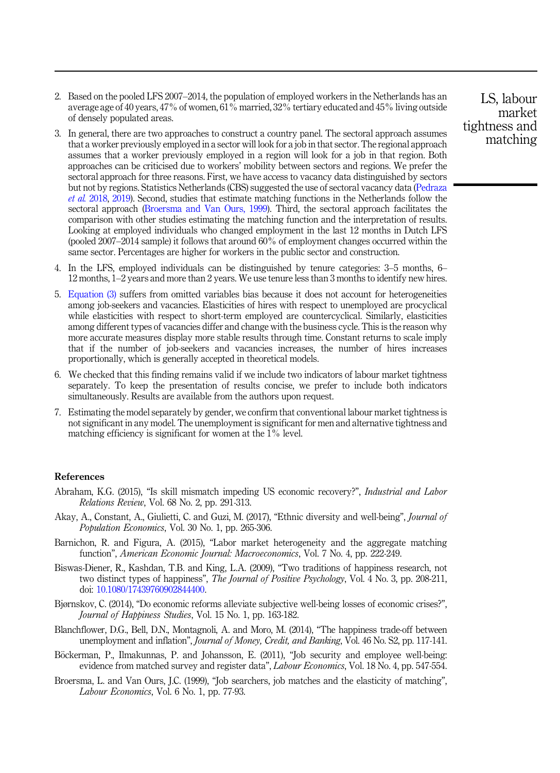- <span id="page-10-0"></span>2. Based on the pooled LFS 2007–2014, the population of employed workers in the Netherlands has an average age of 40 years, 47% of women, 61% married, 32% tertiary educated and 45% living outside of densely populated areas.
- 3. In general, there are two approaches to construct a country panel. The sectoral approach assumes that a worker previously employed in a sector will look for a job in that sector. The regional approach assumes that a worker previously employed in a region will look for a job in that region. Both approaches can be criticised due to workers' mobility between sectors and regions. We prefer the sectoral approach for three reasons. First, we have access to vacancy data distinguished by sectors but not by regions. Statistics Netherlands (CBS) suggested the use of sectoral vacancy data ([Pedraza](#page-12-0) et al. [2018,](#page-12-0) [2019\)](#page-12-0). Second, studies that estimate matching functions in the Netherlands follow the sectoral approach (Broersma and Van Ours, 1999). Third, the sectoral approach facilitates the comparison with other studies estimating the matching function and the interpretation of results. Looking at employed individuals who changed employment in the last 12 months in Dutch LFS (pooled 2007–2014 sample) it follows that around 60% of employment changes occurred within the same sector. Percentages are higher for workers in the public sector and construction.
- 4. In the LFS, employed individuals can be distinguished by tenure categories: 3–5 months, 6– 12 months, 1–2 years and more than 2 years. We use tenure less than 3 months to identify new hires.
- 5. [Equation \(3\)](#page-3-0) suffers from omitted variables bias because it does not account for heterogeneities among job-seekers and vacancies. Elasticities of hires with respect to unemployed are procyclical while elasticities with respect to short-term employed are countercyclical. Similarly, elasticities among different types of vacancies differ and change with the business cycle. This is the reason why more accurate measures display more stable results through time. Constant returns to scale imply that if the number of job-seekers and vacancies increases, the number of hires increases proportionally, which is generally accepted in theoretical models.
- 6. We checked that this finding remains valid if we include two indicators of labour market tightness separately. To keep the presentation of results concise, we prefer to include both indicators simultaneously. Results are available from the authors upon request.
- 7. Estimating the model separately by gender, we confirm that conventional labour market tightness is not significant in any model. The unemployment is significant for men and alternative tightness and matching efficiency is significant for women at the  $1\%$  level.

## References

- Abraham, K.G. (2015), "Is skill mismatch impeding US economic recovery?", Industrial and Labor Relations Review, Vol. 68 No. 2, pp. 291-313.
- Akay, A., Constant, A., Giulietti, C. and Guzi, M. (2017), "Ethnic diversity and well-being", Journal of Population Economics, Vol. 30 No. 1, pp. 265-306.
- Barnichon, R. and Figura, A. (2015), "Labor market heterogeneity and the aggregate matching function", American Economic Journal: Macroeconomics, Vol. 7 No. 4, pp. 222-249.
- Biswas-Diener, R., Kashdan, T.B. and King, L.A. (2009), "Two traditions of happiness research, not two distinct types of happiness", The Journal of Positive Psychology, Vol. 4 No. 3, pp. 208-211, doi: [10.1080/17439760902844400](https://doi.org/10.1080/17439760902844400).
- Bjørnskov, C. (2014), "Do economic reforms alleviate subjective well-being losses of economic crises?", Journal of Happiness Studies, Vol. 15 No. 1, pp. 163-182.
- Blanchflower, D.G., Bell, D.N., Montagnoli, A. and Moro, M. (2014), "The happiness trade-off between unemployment and inflation", *Journal of Money, Credit, and Banking*, Vol. 46 No. S2, pp. 117-141.
- Böckerman, P., Ilmakunnas, P. and Johansson, E. (2011), "Job security and employee well-being: evidence from matched survey and register data", *Labour Economics*, Vol. 18 No. 4, pp. 547-554.
- Broersma, L. and Van Ours, J.C. (1999), "Job searchers, job matches and the elasticity of matching", Labour Economics, Vol. 6 No. 1, pp. 77-93.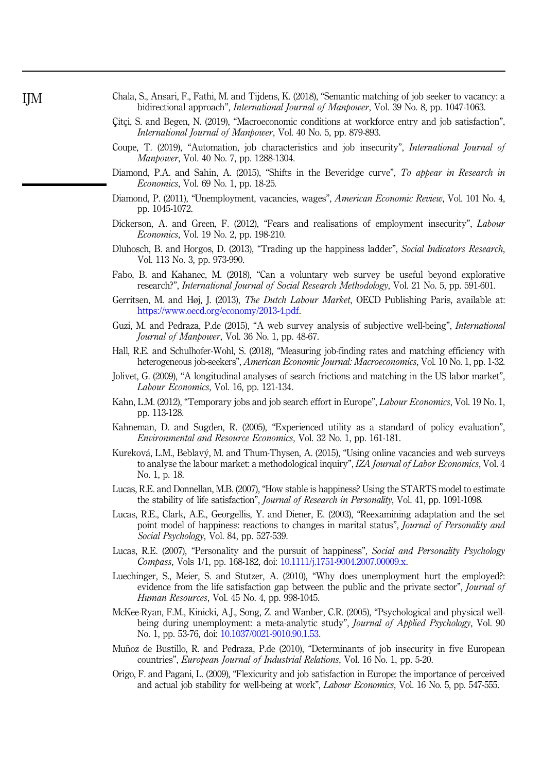<span id="page-11-0"></span>

| Chala, S., Ansari, F., Fathi, M. and Tijdens, K. (2018), "Semantic matching of job seeker to vacancy: a |  |
|---------------------------------------------------------------------------------------------------------|--|
| bidirectional approach", <i>International Journal of Manpower</i> , Vol. 39 No. 8, pp. 1047-1063.       |  |

- Çitçi, S. and Begen, N. (2019), "Macroeconomic conditions at workforce entry and job satisfaction", International Journal of Manpower, Vol. 40 No. 5, pp. 879-893.
- Coupe, T. (2019), "Automation, job characteristics and job insecurity", International Journal of Manpower, Vol. 40 No. 7, pp. 1288-1304.
- Diamond, P.A. and Sahin, A. (2015), "Shifts in the Beveridge curve", To appear in Research in Economics, Vol. 69 No. 1, pp. 18-25.
- Diamond, P. (2011), "Unemployment, vacancies, wages", *American Economic Review*, Vol. 101 No. 4, pp. 1045-1072.
- Dickerson, A. and Green, F. (2012), "Fears and realisations of employment insecurity", Labour Economics, Vol. 19 No. 2, pp. 198-210.
- Dluhosch, B. and Horgos, D. (2013), "Trading up the happiness ladder", Social Indicators Research, Vol. 113 No. 3, pp. 973-990.
- Fabo, B. and Kahanec, M. (2018), "Can a voluntary web survey be useful beyond explorative research?", International Journal of Social Research Methodology, Vol. 21 No. 5, pp. 591-601.
- Gerritsen, M. and Høj, J. (2013), *The Dutch Labour Market*, OECD Publishing Paris, available at: [https://www.oecd.org/economy/2013-4.pdf.](https://www.oecd.org/economy/2013-4.pdf)
- Guzi, M. and Pedraza, P.de (2015), "A web survey analysis of subjective well-being", International Journal of Manpower, Vol. 36 No. 1, pp. 48-67.
- Hall, R.E. and Schulhofer-Wohl, S. (2018), "Measuring job-finding rates and matching efficiency with heterogeneous job-seekers", American Economic Journal: Macroeconomics, Vol. 10 No. 1, pp. 1-32.
- Jolivet, G. (2009), "A longitudinal analyses of search frictions and matching in the US labor market", Labour Economics, Vol. 16, pp. 121-134.
- Kahn, L.M. (2012), "Temporary jobs and job search effort in Europe", Labour Economics, Vol. 19 No. 1, pp. 113-128.
- Kahneman, D. and Sugden, R. (2005), "Experienced utility as a standard of policy evaluation", Environmental and Resource Economics, Vol. 32 No. 1, pp. 161-181.
- Kureková, L.M., Beblavý, M. and Thum-Thysen, A. (2015), "Using online vacancies and web surveys to analyse the labour market: a methodological inquiry", *IZA Journal of Labor Economics*, Vol. 4 No. 1, p. 18.
- Lucas, R.E. and Donnellan, M.B. (2007), "How stable is happiness? Using the STARTS model to estimate the stability of life satisfaction", *Journal of Research in Personality*, Vol. 41, pp. 1091-1098.
- Lucas, R.E., Clark, A.E., Georgellis, Y. and Diener, E. (2003), "Reexamining adaptation and the set point model of happiness: reactions to changes in marital status", *Journal of Personality and* Social Psychology, Vol. 84, pp. 527-539.
- Lucas, R.E. (2007), "Personality and the pursuit of happiness", Social and Personality Psychology Compass, Vols 1/1, pp. 168-182, doi: [10.1111/j.1751-9004.2007.00009.x.](https://doi.org/10.1111/j.1751-9004.2007.00009.x)
- Luechinger, S., Meier, S. and Stutzer, A. (2010), "Why does unemployment hurt the employed?: evidence from the life satisfaction gap between the public and the private sector", *Journal of* Human Resources, Vol. 45 No. 4, pp. 998-1045.
- McKee-Ryan, F.M., Kinicki, A.J., Song, Z. and Wanber, C.R. (2005), "Psychological and physical wellbeing during unemployment: a meta-analytic study", Journal of Applied Psychology, Vol. 90 No. 1, pp. 53-76, doi: [10.1037/0021-9010.90.1.53.](https://doi.org/10.1037/0021-9010.90.1.53)
- Muñoz de Bustillo, R. and Pedraza, P.de (2010), "Determinants of job insecurity in five European countries", European Journal of Industrial Relations, Vol. 16 No. 1, pp. 5-20.
- Origo, F. and Pagani, L. (2009), "Flexicurity and job satisfaction in Europe: the importance of perceived and actual job stability for well-being at work", Labour Economics, Vol. 16 No. 5, pp. 547-555.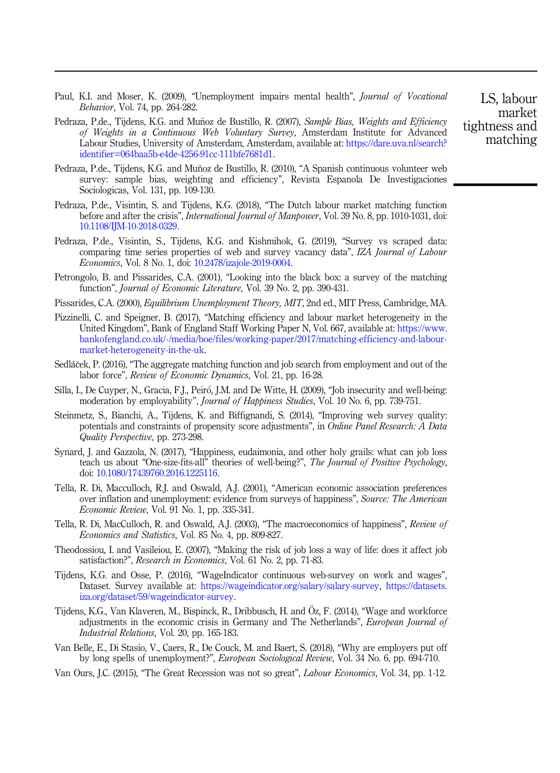- <span id="page-12-0"></span>Paul, K.I. and Moser, K. (2009), "Unemployment impairs mental health", *Journal of Vocational* Behavior, Vol. 74, pp. 264-282.
- Pedraza, P.de., Tijdens, K.G. and Muñoz de Bustillo, R. (2007), Sample Bias, Weights and Efficiency of Weights in a Continuous Web Voluntary Survey, Amsterdam Institute for Advanced Labour Studies, University of Amsterdam, Amsterdam, available at: https://dare.uva.nl/search? identifier=064baa5b-e4de-4256-91cc-111bfe7681d1.
- Pedraza, P.de., Tijdens, K.G. and Muñoz de Bustillo, R. (2010), "A Spanish continuous volunteer web survey: sample bias, weighting and efficiency", Revista Espanola De Investigaciones Sociologicas, Vol. 131, pp. 109-130.
- Pedraza, P.de., Visintin, S. and Tijdens, K.G. (2018), "The Dutch labour market matching function before and after the crisis", International Journal of Manpower, Vol. 39 No. 8, pp. 1010-1031, doi: [10.1108/IJM-10-2018-0329](https://doi.org/10.1108/IJM-10-2018-0329).
- Pedraza, P.de., Visintin, S., Tijdens, K.G. and Kishmihok, G. (2019), "Survey vs scraped data: comparing time series properties of web and survey vacancy data", IZA Journal of Labour Economics, Vol. 8 No. 1, doi: [10.2478/izajole-2019-0004](https://doi.org/10.2478/izajole-2019-0004).
- Petrongolo, B. and Pissarides, C.A. (2001), "Looking into the black box: a survey of the matching function", *Journal of Economic Literature*, Vol. 39 No. 2, pp. 390-431.
- Pissarides, C.A. (2000), *Equilibrium Unemployment Theory, MIT*, 2nd ed., MIT Press, Cambridge, MA.
- Pizzinelli, C. and Speigner, B. (2017), "Matching efficiency and labour market heterogeneity in the United Kingdom", Bank of England Staff Working Paper N, Vol. 667, available at: [https://www.](https://www.bankofengland.co.uk/-/media/boe/files/working-paper/2017/matching-efficiency-and-labour-market-heterogeneity-in-the-uk) [bankofengland.co.uk/-/media/boe/files/working-paper/2017/matching-efficiency-and-labour](https://www.bankofengland.co.uk/-/media/boe/files/working-paper/2017/matching-efficiency-and-labour-market-heterogeneity-in-the-uk)[market-heterogeneity-in-the-uk.](https://www.bankofengland.co.uk/-/media/boe/files/working-paper/2017/matching-efficiency-and-labour-market-heterogeneity-in-the-uk)
- Sedláček, P. (2016), "The aggregate matching function and job search from employment and out of the labor force", Review of Economic Dynamics, Vol. 21, pp. 16-28.
- Silla, I., De Cuyper, N., Gracia, F.J., Peiró, J.M. and De Witte, H. (2009), "Job insecurity and well-being: moderation by employability", *Journal of Happiness Studies*, Vol. 10 No. 6, pp. 739-751.
- Steinmetz, S., Bianchi, A., Tijdens, K. and Biffignandi, S. (2014), "Improving web survey quality: potentials and constraints of propensity score adjustments", in Online Panel Research: A Data Quality Perspective, pp. 273-298.
- Synard, J. and Gazzola, N. (2017), "Happiness, eudaimonia, and other holy grails: what can job loss teach us about "One-size-fits-all" theories of well-being?", The Journal of Positive Psychology, doi: [10.1080/17439760.2016.1225116.](https://doi.org/10.1080/17439760.2016.1225116)
- Tella, R. Di, Macculloch, R.J. and Oswald, A.J. (2001), "American economic association preferences over inflation and unemployment: evidence from surveys of happiness", Source: The American Economic Review, Vol. 91 No. 1, pp. 335-341.
- Tella, R. Di, MacCulloch, R. and Oswald, A.J. (2003), "The macroeconomics of happiness", Review of Economics and Statistics, Vol. 85 No. 4, pp. 809-827.
- Theodossiou, I. and Vasileiou, E. (2007), "Making the risk of job loss a way of life: does it affect job satisfaction?", Research in Economics, Vol. 61 No. 2, pp. 71-83.
- Tijdens, K.G. and Osse, P. (2016), "WageIndicator continuous web-survey on work and wages", Dataset. Survey available at: <https://wageindicator.org/salary/salary-survey>, [https://datasets.](https://datasets.iza.org/dataset/59/wageindicator-survey) [iza.org/dataset/59/wageindicator-survey](https://datasets.iza.org/dataset/59/wageindicator-survey).
- Tijdens, K.G., Van Klaveren, M., Bispinck, R., Dribbusch, H. and Öz, F. (2014), "Wage and workforce adjustments in the economic crisis in Germany and The Netherlands", European Journal of Industrial Relations, Vol. 20, pp. 165-183.
- Van Belle, E., Di Stasio, V., Caers, R., De Couck, M. and Baert, S. (2018), "Why are employers put off by long spells of unemployment?", European Sociological Review, Vol. 34 No. 6, pp. 694-710.
- Van Ours, J.C. (2015), "The Great Recession was not so great", Labour Economics, Vol. 34, pp. 1-12.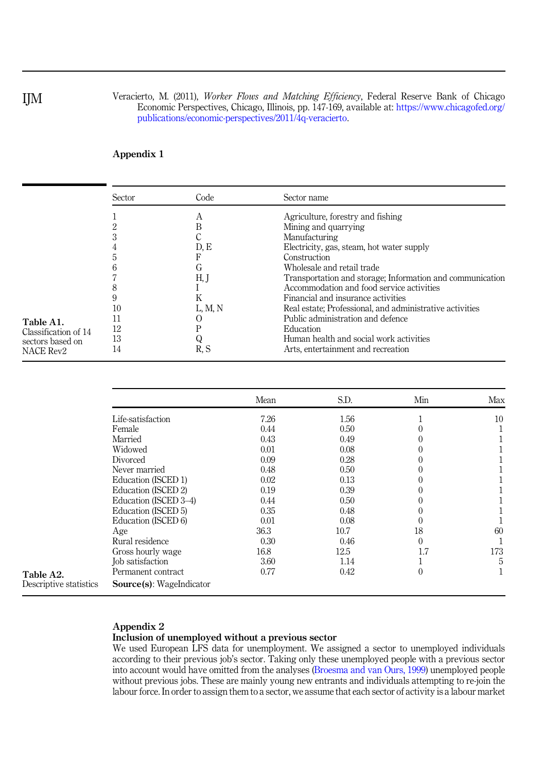Veracierto, M. (2011), Worker Flows and Matching Efficiency, Federal Reserve Bank of Chicago Economic Perspectives, Chicago, Illinois, pp. 147-169, available at: [https://www.chicagofed.org/](https://www.chicagofed.org/publications/economic-perspectives/2011/4q-veracierto) [publications/economic-perspectives/2011/4q-veracierto.](https://www.chicagofed.org/publications/economic-perspectives/2011/4q-veracierto)

# Appendix 1

|                                                                           | Sector                     | Code                                            | Sector name                                                                                                                                                                                                                                                                                                                                                                                                                                                                                                          |
|---------------------------------------------------------------------------|----------------------------|-------------------------------------------------|----------------------------------------------------------------------------------------------------------------------------------------------------------------------------------------------------------------------------------------------------------------------------------------------------------------------------------------------------------------------------------------------------------------------------------------------------------------------------------------------------------------------|
| Table A1.<br>Classification of 14<br>sectors based on<br><b>NACE Rev2</b> | 10<br>11<br>12<br>13<br>14 | А<br>D, E<br>ιт<br>H, J<br>ĸ<br>L, M, N<br>R. S | Agriculture, forestry and fishing<br>Mining and quarrying<br>Manufacturing<br>Electricity, gas, steam, hot water supply<br>Construction<br>Wholesale and retail trade<br>Transportation and storage; Information and communication<br>Accommodation and food service activities<br>Financial and insurance activities<br>Real estate; Professional, and administrative activities<br>Public administration and defence<br>Education<br>Human health and social work activities<br>Arts, entertainment and recreation |

|                        |                          | Mean | S.D. | Min      | Max |
|------------------------|--------------------------|------|------|----------|-----|
|                        | Life-satisfaction        | 7.26 | 1.56 |          | 10  |
|                        | Female                   | 0.44 | 0.50 |          |     |
|                        | Married                  | 0.43 | 0.49 |          |     |
|                        | Widowed                  | 0.01 | 0.08 |          |     |
|                        | Divorced                 | 0.09 | 0.28 |          |     |
|                        | Never married            | 0.48 | 0.50 |          |     |
|                        | Education (ISCED 1)      | 0.02 | 0.13 |          |     |
|                        | Education (ISCED 2)      | 0.19 | 0.39 |          |     |
|                        | Education (ISCED 3-4)    | 0.44 | 0.50 |          |     |
|                        | Education (ISCED 5)      | 0.35 | 0.48 |          |     |
|                        | Education (ISCED 6)      | 0.01 | 0.08 |          |     |
|                        | Age                      | 36.3 | 10.7 | 18       | 60  |
|                        | Rural residence          | 0.30 | 0.46 | $\theta$ |     |
|                        | Gross hourly wage        | 16.8 | 12.5 | 1.7      | 173 |
|                        | Job satisfaction         | 3.60 | 1.14 |          | 5   |
| Table A2.              | Permanent contract       | 0.77 | 0.42 | 0        |     |
| Descriptive statistics | Source(s): WageIndicator |      |      |          |     |

# Appendix 2

# Inclusion of unemployed without a previous sector

We used European LFS data for unemployment. We assigned a sector to unemployed individuals according to their previous job's sector. Taking only these unemployed people with a previous sector into account would have omitted from the analyses [\(Broesma and van Ours, 1999](#page-10-0)) unemployed people without previous jobs. These are mainly young new entrants and individuals attempting to re-join the labour force. In order to assign them to a sector, we assume that each sector of activity is a labour market

# <span id="page-13-0"></span>IJM